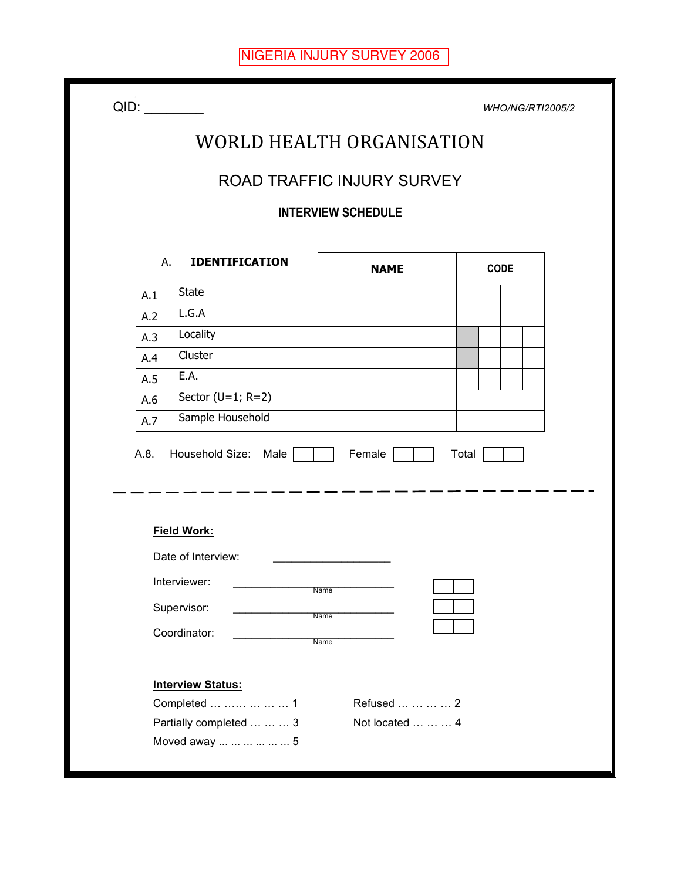|     |                                                 |                            | <b>WHO/NG/RTI2005/2</b> |  |  |  |  |  |  |  |  |  |
|-----|-------------------------------------------------|----------------------------|-------------------------|--|--|--|--|--|--|--|--|--|
|     |                                                 | WORLD HEALTH ORGANISATION  |                         |  |  |  |  |  |  |  |  |  |
|     |                                                 | ROAD TRAFFIC INJURY SURVEY |                         |  |  |  |  |  |  |  |  |  |
|     | <b>INTERVIEW SCHEDULE</b>                       |                            |                         |  |  |  |  |  |  |  |  |  |
|     |                                                 |                            |                         |  |  |  |  |  |  |  |  |  |
|     | А.<br><b>IDENTIFICATION</b>                     | <b>NAME</b>                | <b>CODE</b>             |  |  |  |  |  |  |  |  |  |
| A.1 | <b>State</b>                                    |                            |                         |  |  |  |  |  |  |  |  |  |
| A.2 | L.G.A                                           |                            |                         |  |  |  |  |  |  |  |  |  |
| A.3 | Locality                                        |                            |                         |  |  |  |  |  |  |  |  |  |
| A.4 | Cluster                                         |                            |                         |  |  |  |  |  |  |  |  |  |
| A.5 | E.A.                                            |                            |                         |  |  |  |  |  |  |  |  |  |
| A.6 | Sector ( $U=1$ ; R=2)                           |                            |                         |  |  |  |  |  |  |  |  |  |
| A.7 | Sample Household                                |                            |                         |  |  |  |  |  |  |  |  |  |
|     |                                                 |                            |                         |  |  |  |  |  |  |  |  |  |
|     | A.8. Household Size: Male<br><b>Field Work:</b> | Female                     | Total                   |  |  |  |  |  |  |  |  |  |
|     | Date of Interview:                              |                            |                         |  |  |  |  |  |  |  |  |  |
|     | Interviewer:                                    | $\overline{ }$<br>Name     |                         |  |  |  |  |  |  |  |  |  |
|     | Supervisor:                                     | <b>Name</b>                |                         |  |  |  |  |  |  |  |  |  |
|     | Coordinator:                                    | Name                       |                         |  |  |  |  |  |  |  |  |  |
|     | <b>Interview Status:</b>                        |                            |                         |  |  |  |  |  |  |  |  |  |
|     | Completed      1                                | Refused     2              |                         |  |  |  |  |  |  |  |  |  |
|     | Partially completed    3<br>Moved away       5  | Not located    4           |                         |  |  |  |  |  |  |  |  |  |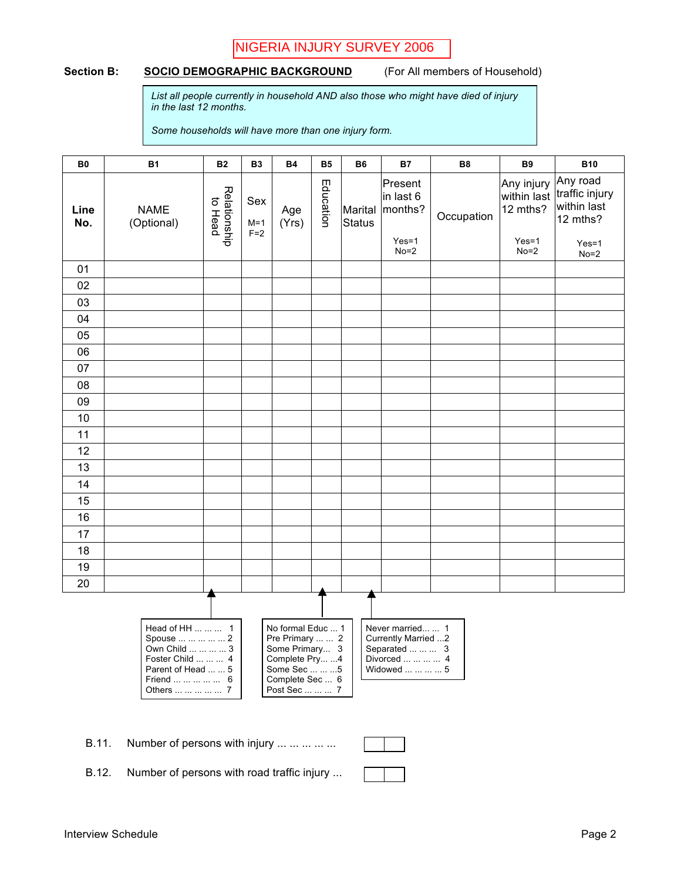# NIGERIA INJURY SURVEY 2006

#### Section B: **SOCIO DEMOGRAPHIC BACKGROUND** (For All members of Household)

*List all people currently in household AND also those who might have died of injury in the last 12 months.*

*Some households will have more than one injury form.*

| <b>B0</b>   | <b>B1</b>                                                                                                                       | <b>B2</b>               | <b>B3</b>             | <b>B4</b>                                                                                                                     | <b>B5</b> | <b>B6</b>                | <b>B7</b>                                                                                    | <b>B8</b>  | <b>B9</b>                                        | <b>B10</b>                                                       |
|-------------|---------------------------------------------------------------------------------------------------------------------------------|-------------------------|-----------------------|-------------------------------------------------------------------------------------------------------------------------------|-----------|--------------------------|----------------------------------------------------------------------------------------------|------------|--------------------------------------------------|------------------------------------------------------------------|
| Line<br>No. | <b>NAME</b><br>(Optional)                                                                                                       | Relationship<br>to Head | Sex<br>$M=1$<br>$F=2$ | Age<br>(Yrs)                                                                                                                  | Education | Marital<br><b>Status</b> | Present<br>in last 6<br>months?<br>$Yes=1$                                                   | Occupation | Any injury<br>within last<br>12 mths?<br>$Yes=1$ | Any road<br>traffic injury<br>within last<br>12 mths?<br>$Yes=1$ |
|             |                                                                                                                                 |                         |                       |                                                                                                                               |           |                          | $No=2$                                                                                       |            | $No=2$                                           | $No=2$                                                           |
| 01          |                                                                                                                                 |                         |                       |                                                                                                                               |           |                          |                                                                                              |            |                                                  |                                                                  |
| 02          |                                                                                                                                 |                         |                       |                                                                                                                               |           |                          |                                                                                              |            |                                                  |                                                                  |
| 03<br>04    |                                                                                                                                 |                         |                       |                                                                                                                               |           |                          |                                                                                              |            |                                                  |                                                                  |
| 05          |                                                                                                                                 |                         |                       |                                                                                                                               |           |                          |                                                                                              |            |                                                  |                                                                  |
| 06          |                                                                                                                                 |                         |                       |                                                                                                                               |           |                          |                                                                                              |            |                                                  |                                                                  |
| 07          |                                                                                                                                 |                         |                       |                                                                                                                               |           |                          |                                                                                              |            |                                                  |                                                                  |
| 08          |                                                                                                                                 |                         |                       |                                                                                                                               |           |                          |                                                                                              |            |                                                  |                                                                  |
| 09          |                                                                                                                                 |                         |                       |                                                                                                                               |           |                          |                                                                                              |            |                                                  |                                                                  |
| 10          |                                                                                                                                 |                         |                       |                                                                                                                               |           |                          |                                                                                              |            |                                                  |                                                                  |
| 11          |                                                                                                                                 |                         |                       |                                                                                                                               |           |                          |                                                                                              |            |                                                  |                                                                  |
| 12          |                                                                                                                                 |                         |                       |                                                                                                                               |           |                          |                                                                                              |            |                                                  |                                                                  |
| 13          |                                                                                                                                 |                         |                       |                                                                                                                               |           |                          |                                                                                              |            |                                                  |                                                                  |
| 14          |                                                                                                                                 |                         |                       |                                                                                                                               |           |                          |                                                                                              |            |                                                  |                                                                  |
| 15          |                                                                                                                                 |                         |                       |                                                                                                                               |           |                          |                                                                                              |            |                                                  |                                                                  |
| 16          |                                                                                                                                 |                         |                       |                                                                                                                               |           |                          |                                                                                              |            |                                                  |                                                                  |
| 17          |                                                                                                                                 |                         |                       |                                                                                                                               |           |                          |                                                                                              |            |                                                  |                                                                  |
| 18          |                                                                                                                                 |                         |                       |                                                                                                                               |           |                          |                                                                                              |            |                                                  |                                                                  |
| 19          |                                                                                                                                 |                         |                       |                                                                                                                               |           |                          |                                                                                              |            |                                                  |                                                                  |
| 20          |                                                                                                                                 |                         |                       |                                                                                                                               |           |                          |                                                                                              |            |                                                  |                                                                  |
|             | Head of HH    1<br>Spouse      2<br>Own Child     3<br>Foster Child    4<br>Parent of Head   5<br>Friend     6<br>Others      7 |                         |                       | No formal Educ  1<br>Pre Primary   2<br>Some Primary 3<br>Complete Pry 4<br>Some Sec    5<br>Complete Sec  6<br>Post Sec    7 |           |                          | Never married  1<br>Currently Married 2<br>Separated    3<br>Divorced     4<br>Widowed     5 |            |                                                  |                                                                  |

B.11. Number of persons with injury ... ... ... ... ...

B.12. Number of persons with road traffic injury ...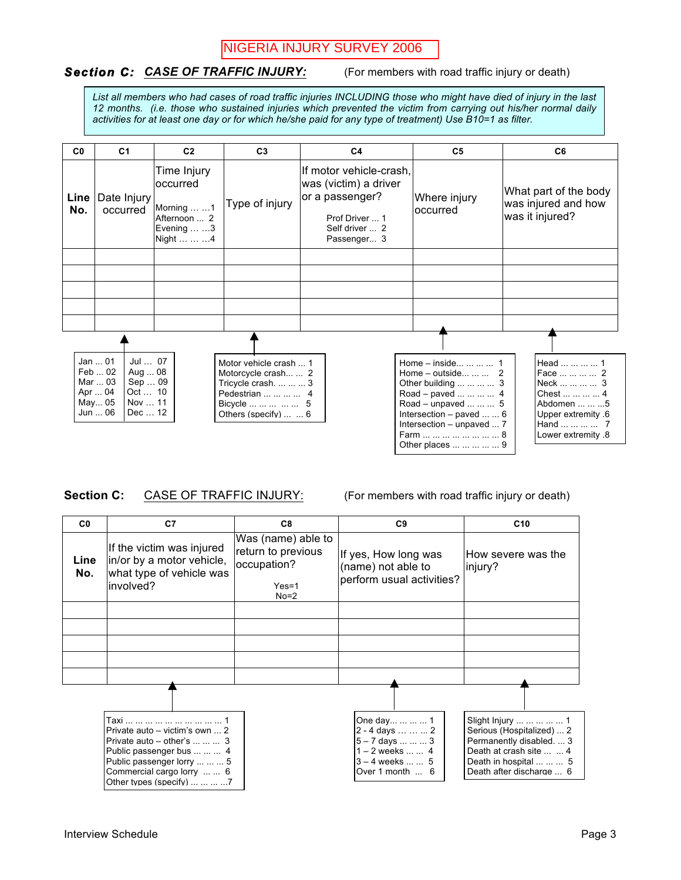# NIGERIA INJURY SURVEY 2006

### **Section C: CASE OF TRAFFIC INJURY:** (For members with road traffic injury or death)

*List all members who had cases of road traffic injuries INCLUDING those who might have died of injury in the last 12 months. (i.e. those who sustained injuries which prevented the victim from carrying out his/her normal daily activities for at least one day or for which he/she paid for any type of treatment) Use B10=1 as filter.*

| C <sub>0</sub> | C <sub>1</sub>                                                                                                                  | C <sub>2</sub> | C <sub>3</sub>                                                                                                                     | C <sub>4</sub>                                                                                                         | C <sub>5</sub>                                                                                                                                                                                                                  | C <sub>6</sub>                                                                                                                         |
|----------------|---------------------------------------------------------------------------------------------------------------------------------|----------------|------------------------------------------------------------------------------------------------------------------------------------|------------------------------------------------------------------------------------------------------------------------|---------------------------------------------------------------------------------------------------------------------------------------------------------------------------------------------------------------------------------|----------------------------------------------------------------------------------------------------------------------------------------|
| Line<br>No.    | Time Injury<br>occurred<br>Date Injury<br>Morning   1<br>occurred<br>Afternoon  2<br>Evening $\dots \dots$ 3<br>Night    4      |                | Type of injury                                                                                                                     | If motor vehicle-crash,<br>was (victim) a driver<br>or a passenger?<br>Prof Driver  1<br>Self driver  2<br>Passenger 3 | Where injury<br>loccurred                                                                                                                                                                                                       | What part of the body<br>was injured and how<br>was it injured?                                                                        |
|                |                                                                                                                                 |                |                                                                                                                                    |                                                                                                                        |                                                                                                                                                                                                                                 |                                                                                                                                        |
|                |                                                                                                                                 |                |                                                                                                                                    |                                                                                                                        |                                                                                                                                                                                                                                 |                                                                                                                                        |
|                |                                                                                                                                 |                |                                                                                                                                    |                                                                                                                        |                                                                                                                                                                                                                                 |                                                                                                                                        |
|                |                                                                                                                                 |                |                                                                                                                                    |                                                                                                                        |                                                                                                                                                                                                                                 |                                                                                                                                        |
|                |                                                                                                                                 |                |                                                                                                                                    |                                                                                                                        |                                                                                                                                                                                                                                 |                                                                                                                                        |
|                | Jan  01<br>Jul  07<br>Feb  02<br>Aug  08<br>Mar  03<br>Sep  09<br>Oct  10<br>Apr  04<br>May 05<br>Nov  11<br>Jun  06<br>Dec  12 |                | Motor vehicle crash  1<br>Motorcycle crash  2<br>Tricycle crash.    3<br>Pedestrian     4<br>Bicycle     5<br>Others (specify)   6 |                                                                                                                        | Home $-$ inside    1<br>Home – outside   2<br>Other building     3<br>Road - paved     4<br>Road – unpaved    5<br>Intersection $-$ paved $\dots \dots 6$<br>Intersection - unpaved  7<br>Farm         8<br>Other places      9 | Head     1<br>Face     2<br>Neck     3<br>Chest     4<br>Abdomen    5<br>Upper extremity .6<br>Hand     7<br><b>Lower extremity .8</b> |

### **Section C:** CASE OF TRAFFIC INJURY: (For members with road traffic injury or death)

| C <sub>0</sub> | C7                                                                                                                                                                                                                        | C8                                                                           | C <sub>9</sub>                                                                                                  | C <sub>10</sub>                                                                                                                                                |
|----------------|---------------------------------------------------------------------------------------------------------------------------------------------------------------------------------------------------------------------------|------------------------------------------------------------------------------|-----------------------------------------------------------------------------------------------------------------|----------------------------------------------------------------------------------------------------------------------------------------------------------------|
| Line<br>No.    | If the victim was injured<br>in/or by a motor vehicle,<br>what type of vehicle was<br>involved?                                                                                                                           | Was (name) able to<br>return to previous<br>occupation?<br>$Yes=1$<br>$No=2$ | If yes, How long was<br>(name) not able to<br>perform usual activities?                                         | lHow severe was the<br>linjury?                                                                                                                                |
|                |                                                                                                                                                                                                                           |                                                                              |                                                                                                                 |                                                                                                                                                                |
|                |                                                                                                                                                                                                                           |                                                                              |                                                                                                                 |                                                                                                                                                                |
|                |                                                                                                                                                                                                                           |                                                                              |                                                                                                                 |                                                                                                                                                                |
|                |                                                                                                                                                                                                                           |                                                                              |                                                                                                                 |                                                                                                                                                                |
|                |                                                                                                                                                                                                                           |                                                                              |                                                                                                                 |                                                                                                                                                                |
|                | Private auto - victim's own  2<br>Private auto $-$ other's $\dots \dots \dots$ 3<br>Public passenger bus    4<br>Public passenger lorry    5<br>Commercial cargo lorry   6<br>Other types (specify) $\dots \dots \dots 7$ |                                                                              | One day    1<br>2 - 4 days    2<br>5 - 7 days    3<br>$1 - 2$ weeks   4<br>$3 - 4$ weeks   5<br>Over 1 month  6 | Slight Injury      1<br>Serious (Hospitalized)  2<br>Permanently disabled.  3<br>Death at crash site   4<br>Death in hospital    5<br>Death after discharge  6 |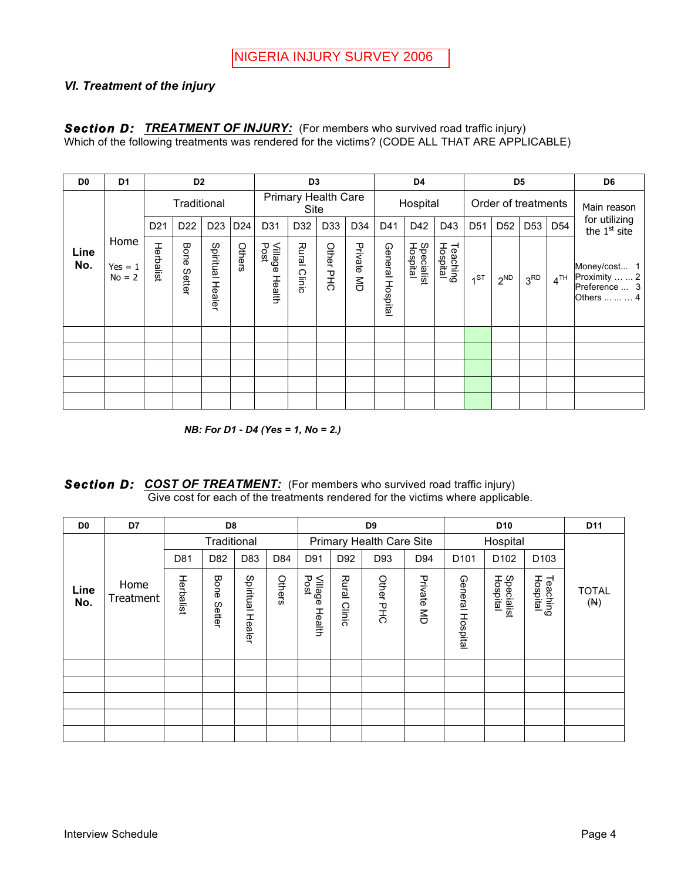## *VI. Treatment of the injury*

#### **Section D: TREATMENT OF INJURY:** (For members who survived road traffic injury) Which of the following treatments was rendered for the victims? (CODE ALL THAT ARE APPLICABLE)

| D <sub>0</sub> | D <sub>1</sub>                |                 | D <sub>2</sub>  |                  |        |                        | D <sub>3</sub>                     |           |            |                  | D4                     |                      | D <sub>5</sub>  |                 |                 |                 | D <sub>6</sub>                                                |
|----------------|-------------------------------|-----------------|-----------------|------------------|--------|------------------------|------------------------------------|-----------|------------|------------------|------------------------|----------------------|-----------------|-----------------|-----------------|-----------------|---------------------------------------------------------------|
|                |                               | Traditional     |                 |                  |        |                        | <b>Primary Health Care</b><br>Site |           |            | Hospital         |                        | Order of treatments  |                 |                 | Main reason     |                 |                                                               |
|                |                               | D <sub>21</sub> | D <sub>22</sub> | D <sub>23</sub>  | D24    | D31                    | D <sub>32</sub>                    | D33       | D34        | D41              | D42                    | D43                  | D <sub>51</sub> | D <sub>52</sub> | D <sub>53</sub> | D <sub>54</sub> | for utilizing<br>the $1st$ site                               |
| Line<br>No.    | Home<br>$Yes = 1$<br>$No = 2$ | Herbalist       | Bone<br>Setter  | Spiritual Healer | Others | Village Health<br>Post | Rural<br>Clinic                    | Other PHC | Private MD | General Hospital | Specialist<br>Hospital | Teaching<br>Hospital | 1 <sup>ST</sup> | $2^{ND}$        | 3 <sup>RD</sup> | 4 <sup>TH</sup> | Money/cost 1<br>Proximity   2<br>Preference  3<br>Others    4 |
|                |                               |                 |                 |                  |        |                        |                                    |           |            |                  |                        |                      |                 |                 |                 |                 |                                                               |
|                |                               |                 |                 |                  |        |                        |                                    |           |            |                  |                        |                      |                 |                 |                 |                 |                                                               |
|                |                               |                 |                 |                  |        |                        |                                    |           |            |                  |                        |                      |                 |                 |                 |                 |                                                               |
|                |                               |                 |                 |                  |        |                        |                                    |           |            |                  |                        |                      |                 |                 |                 |                 |                                                               |
|                |                               |                 |                 |                  |        |                        |                                    |           |            |                  |                        |                      |                 |                 |                 |                 |                                                               |

*NB: For D1 - D4 (Yes = 1, No = 2.)*

**Section D:** COST OF TREATMENT: (For members who survived road traffic injury) Give cost for each of the treatments rendered for the victims where applicable.

| D <sub>0</sub> | D7                | D <sub>8</sub> |                |                     |        |                           | D9                       |           |            |                  | D <sub>10</sub>        |                      |                     |  |
|----------------|-------------------|----------------|----------------|---------------------|--------|---------------------------|--------------------------|-----------|------------|------------------|------------------------|----------------------|---------------------|--|
|                |                   | Traditional    |                |                     |        |                           | Primary Health Care Site |           |            |                  | Hospital               |                      |                     |  |
|                |                   | D81            | D82            | D83                 | D84    | D91                       | D92                      | D93       | D94        | D <sub>101</sub> | D <sub>102</sub>       | D <sub>103</sub>     |                     |  |
| Line<br>No.    | Home<br>Treatment | Herbalist      | Bone<br>Setter | Spiritual<br>Healer | Others | Village<br>Post<br>Health | <b>Rural</b><br>Clinic   | Other PHC | Private MD | General Hospital | Specialist<br>Hospital | Teaching<br>Hospital | <b>TOTAL</b><br>(M) |  |
|                |                   |                |                |                     |        |                           |                          |           |            |                  |                        |                      |                     |  |
|                |                   |                |                |                     |        |                           |                          |           |            |                  |                        |                      |                     |  |
|                |                   |                |                |                     |        |                           |                          |           |            |                  |                        |                      |                     |  |
|                |                   |                |                |                     |        |                           |                          |           |            |                  |                        |                      |                     |  |
|                |                   |                |                |                     |        |                           |                          |           |            |                  |                        |                      |                     |  |